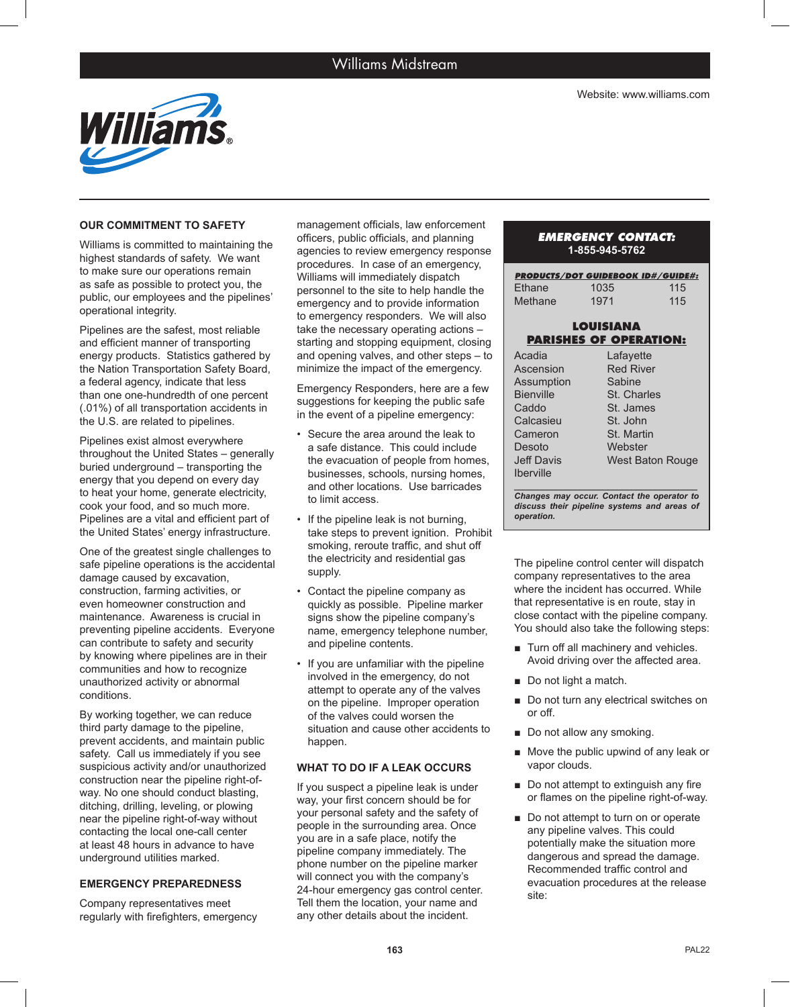

### **OUR COMMITMENT TO SAFETY**

Williams is committed to maintaining the highest standards of safety. We want to make sure our operations remain as safe as possible to protect you, the public, our employees and the pipelines' operational integrity.

Pipelines are the safest, most reliable and efficient manner of transporting energy products. Statistics gathered by the Nation Transportation Safety Board, a federal agency, indicate that less than one one-hundredth of one percent (.01%) of all transportation accidents in the U.S. are related to pipelines.

Pipelines exist almost everywhere throughout the United States – generally buried underground – transporting the energy that you depend on every day to heat your home, generate electricity, cook your food, and so much more. Pipelines are a vital and efficient part of the United States' energy infrastructure.

One of the greatest single challenges to safe pipeline operations is the accidental damage caused by excavation, construction, farming activities, or even homeowner construction and maintenance. Awareness is crucial in preventing pipeline accidents. Everyone can contribute to safety and security by knowing where pipelines are in their communities and how to recognize unauthorized activity or abnormal conditions.

By working together, we can reduce third party damage to the pipeline, prevent accidents, and maintain public safety. Call us immediately if you see suspicious activity and/or unauthorized construction near the pipeline right-ofway. No one should conduct blasting, ditching, drilling, leveling, or plowing near the pipeline right-of-way without contacting the local one-call center at least 48 hours in advance to have underground utilities marked.

#### **EMERGENCY PREPAREDNESS**

Company representatives meet regularly with firefighters, emergency

management officials, law enforcement officers, public officials, and planning agencies to review emergency response procedures. In case of an emergency, Williams will immediately dispatch personnel to the site to help handle the emergency and to provide information to emergency responders. We will also take the necessary operating actions – starting and stopping equipment, closing and opening valves, and other steps – to minimize the impact of the emergency.

Emergency Responders, here are a few suggestions for keeping the public safe in the event of a pipeline emergency:

- Secure the area around the leak to a safe distance. This could include the evacuation of people from homes, businesses, schools, nursing homes, and other locations. Use barricades to limit access.
- If the pipeline leak is not burning, take steps to prevent ignition. Prohibit smoking, reroute traffic, and shut off the electricity and residential gas supply.
- Contact the pipeline company as quickly as possible. Pipeline marker signs show the pipeline company's name, emergency telephone number, and pipeline contents.
- If you are unfamiliar with the pipeline involved in the emergency, do not attempt to operate any of the valves on the pipeline. Improper operation of the valves could worsen the situation and cause other accidents to happen.

#### **WHAT TO DO IF A LEAK OCCURS**

If you suspect a pipeline leak is under way, your first concern should be for your personal safety and the safety of people in the surrounding area. Once you are in a safe place, notify the pipeline company immediately. The phone number on the pipeline marker will connect you with the company's 24-hour emergency gas control center. Tell them the location, your name and any other details about the incident.

# *EMERGENCY CONTACT:* **1-855-945-5762**

| <b>PRODUCTS/DOT GUIDEBOOK ID#/GUIDE#:</b> |      |     |
|-------------------------------------------|------|-----|
| Ethane                                    | 1035 | 115 |
| Methane                                   | 1971 | 115 |

## **LOUISIANA PARISHES OF OPERATION:**

| Acadia            | Lafayette        |
|-------------------|------------------|
| Ascension         | <b>Red River</b> |
| Assumption        | Sabine           |
| <b>Bienville</b>  | St. Charles      |
| Caddo             | St. James        |
| Calcasieu         | St. John         |
| Cameron           | St. Martin       |
| Desoto            | Webster          |
| <b>Jeff Davis</b> | West Baton Rouge |
| <b>Iberville</b>  |                  |
|                   |                  |

*Changes may occur. Contact the operator to discuss their pipeline systems and areas of operation.*

The pipeline control center will dispatch company representatives to the area where the incident has occurred. While that representative is en route, stay in close contact with the pipeline company. You should also take the following steps:

- Turn off all machinery and vehicles. Avoid driving over the affected area.
- Do not light a match.
- Do not turn any electrical switches on or off.
- Do not allow any smoking.
- Move the public upwind of any leak or vapor clouds.
- Do not attempt to extinguish any fire or flames on the pipeline right-of-way.
- Do not attempt to turn on or operate any pipeline valves. This could potentially make the situation more dangerous and spread the damage. Recommended traffic control and evacuation procedures at the release site: